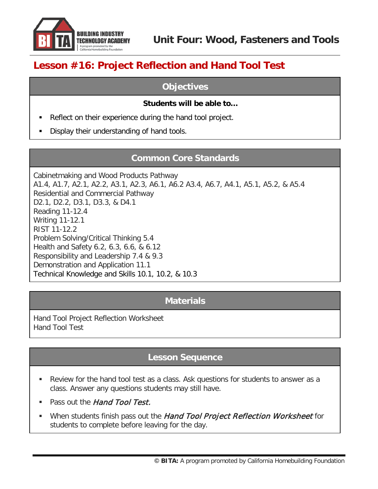

# **Lesson #16: Project Reflection and Hand Tool Test**

#### **Objectives**

#### **Students will be able to…**

- Reflect on their experience during the hand tool project.
- Display their understanding of hand tools.

### **Common Core Standards**

Cabinetmaking and Wood Products Pathway A1.4, A1.7, A2.1, A2.2, A3.1, A2.3, A6.1, A6.2 A3.4, A6.7, A4.1, A5.1, A5.2, & A5.4 Residential and Commercial Pathway D2.1, D2.2, D3.1, D3.3, & D4.1 Reading 11-12.4 Writing 11-12.1 RIST 11-12.2 Problem Solving/Critical Thinking 5.4 Health and Safety 6.2, 6.3, 6.6, & 6.12 Responsibility and Leadership 7.4 & 9.3 Demonstration and Application 11.1 Technical Knowledge and Skills 10.1, 10.2, & 10.3

#### **Materials**

Hand Tool Project Reflection Worksheet Hand Tool Test

### **Lesson Sequence**

- Review for the hand tool test as a class. Ask questions for students to answer as a class. Answer any questions students may still have.
- Pass out the Hand Tool Test.
- When students finish pass out the Hand Tool Project Reflection Worksheet for students to complete before leaving for the day.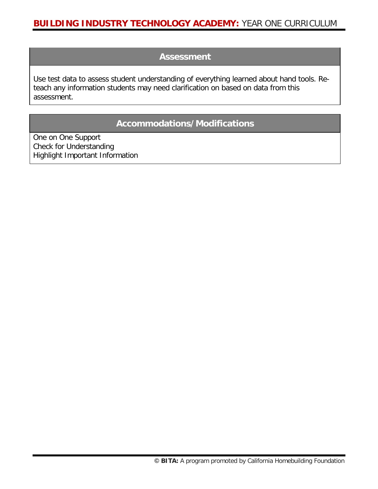#### **Assessment**

Use test data to assess student understanding of everything learned about hand tools. Reteach any information students may need clarification on based on data from this assessment.

## **Accommodations/Modifications**

One on One Support Check for Understanding Highlight Important Information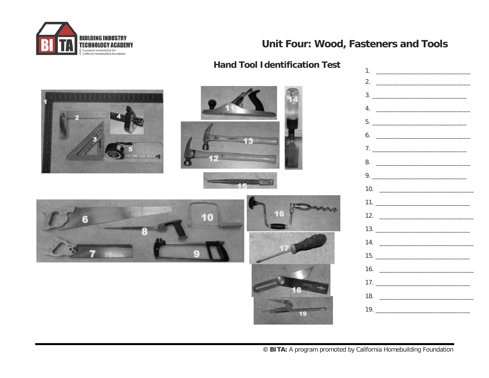

## Unit Four: Wood, Fasteners and Tools

| <b>Hand Tool Identification Test</b> | $1.$ $\frac{1}{2}$ $\frac{1}{2}$ $\frac{1}{2}$ $\frac{1}{2}$ $\frac{1}{2}$ $\frac{1}{2}$ $\frac{1}{2}$ $\frac{1}{2}$ $\frac{1}{2}$ $\frac{1}{2}$ $\frac{1}{2}$ $\frac{1}{2}$ $\frac{1}{2}$ $\frac{1}{2}$ $\frac{1}{2}$ $\frac{1}{2}$ $\frac{1}{2}$ $\frac{1}{2}$ $\frac{1}{2}$ $\frac{1}{2}$ $\frac{1}{2}$ $\frac{1}{$ |
|--------------------------------------|------------------------------------------------------------------------------------------------------------------------------------------------------------------------------------------------------------------------------------------------------------------------------------------------------------------------|
|                                      | 2. $\qquad \qquad$                                                                                                                                                                                                                                                                                                     |
| $e = e + e$                          |                                                                                                                                                                                                                                                                                                                        |
|                                      |                                                                                                                                                                                                                                                                                                                        |
|                                      |                                                                                                                                                                                                                                                                                                                        |
|                                      |                                                                                                                                                                                                                                                                                                                        |
|                                      | 7.                                                                                                                                                                                                                                                                                                                     |
|                                      | 8.                                                                                                                                                                                                                                                                                                                     |
|                                      | 9.                                                                                                                                                                                                                                                                                                                     |
|                                      | 10.                                                                                                                                                                                                                                                                                                                    |
| 10                                   |                                                                                                                                                                                                                                                                                                                        |
|                                      |                                                                                                                                                                                                                                                                                                                        |
|                                      |                                                                                                                                                                                                                                                                                                                        |
|                                      |                                                                                                                                                                                                                                                                                                                        |
|                                      |                                                                                                                                                                                                                                                                                                                        |
|                                      |                                                                                                                                                                                                                                                                                                                        |
|                                      |                                                                                                                                                                                                                                                                                                                        |
|                                      | 18. $\frac{1}{2}$ = $\frac{1}{2}$ = $\frac{1}{2}$ = $\frac{1}{2}$ = $\frac{1}{2}$ = $\frac{1}{2}$ = $\frac{1}{2}$ = $\frac{1}{2}$ = $\frac{1}{2}$ = $\frac{1}{2}$ = $\frac{1}{2}$ = $\frac{1}{2}$ = $\frac{1}{2}$ = $\frac{1}{2}$ = $\frac{1}{2}$ = $\frac{1}{2}$ = $\frac{1}{2}$ = $\frac{1}{2}$ =                    |
| 19                                   |                                                                                                                                                                                                                                                                                                                        |
|                                      |                                                                                                                                                                                                                                                                                                                        |